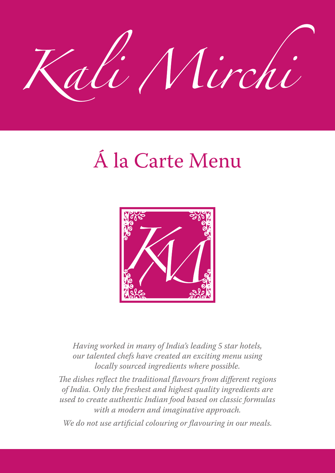

# Á la Carte Menu



*Having worked in many of India's leading 5 star hotels, our talented chefs have created an exciting menu using locally sourced ingredients where possible.*

*The dishes reflect the traditional flavours from different regions of India. Only the freshest and highest quality ingredients are used to create authentic Indian food based on classic formulas with a modern and imaginative approach.*

*We do not use artificial colouring or flavouring in our meals.*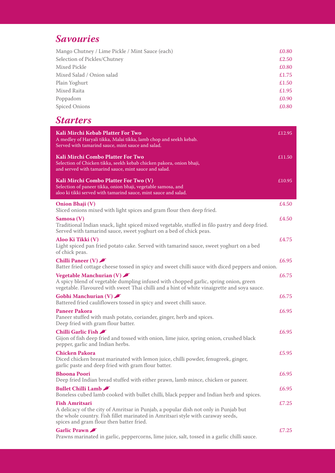# *Savouries Savouries*

| Mango Chutney / Lime Pickle / Mint Sauce (each) | £0.80 |
|-------------------------------------------------|-------|
| Selection of Pickles/Chutney                    | £2.50 |
| Mixed Pickle                                    | £0.80 |
| Mixed Salad / Onion salad                       | £1.75 |
| Plain Yoghurt                                   | £1.50 |
| Mixed Raita                                     | £1.95 |
| Poppadom                                        | £0.90 |
| <b>Spiced Onions</b>                            | £0.80 |

# **Starters Executive Constant Online Constant Constant Online Constant Constant Constant Constant Constant Constant Constant Constant Constant Constant Constant Constant Constant Constant Constant Constant Constant Consta**

| Kali Mirchi Kebab Platter For Two<br>A medley of Haryali tikka, Malai tikka, lamb chop and seekh kebab.<br>Served with tamarind sauce, mint sauce and salad.                                                                                | £12.95 |
|---------------------------------------------------------------------------------------------------------------------------------------------------------------------------------------------------------------------------------------------|--------|
| Kali Mirchi Combo Platter For Two<br>Selection of Chicken tikka, seekh kebab chicken pakora, onion bhaji,<br>and served with tamarind sauce, mint sauce and salad.                                                                          | £11.50 |
| Kali Mirchi Combo Platter For Two (V)<br>Selection of paneer tikka, onion bhaji, vegetable samosa, and<br>aloo ki tikki served with tamarind sauce, mint sauce and salad.                                                                   | £10.95 |
| <b>Onion Bhaji</b> (V)<br>Sliced onions mixed with light spices and gram flour then deep fried.                                                                                                                                             | £4.50  |
| Samosa (V)<br>Traditional Indian snack, light spiced mixed vegetable, stuffed in filo pastry and deep fried.<br>Served with tamarind sauce, sweet yoghurt on a bed of chick peas.                                                           | £4.50  |
| Aloo Ki Tikki (V)<br>Light spiced pan fried potato cake. Served with tamarind sauce, sweet yoghurt on a bed<br>of chick peas.                                                                                                               | £4.75  |
| <b>Chilli Paneer (V)</b><br>Batter fried cottage cheese tossed in spicy and sweet chilli sauce with diced peppers and onion.                                                                                                                | £6.95  |
| Vegetable Manchurian $(V)$<br>A spicy blend of vegetable dumpling infused with chopped garlic, spring onion, green<br>vegetable. Flavoured with sweet Thai chilli and a hint of white vinaigrette and soya sauce.                           | £6.75  |
| Gobhi Manchurian $(V)$<br>Battered fried cauliflowers tossed in spicy and sweet chilli sauce.                                                                                                                                               | £6.75  |
| <b>Paneer Pakora</b><br>Paneer stuffed with mash potato, coriander, ginger, herb and spices.<br>Deep fried with gram flour batter.                                                                                                          | £6.95  |
| Chilli Garlic Fish<br>Gijon of fish deep fried and tossed with onion, lime juice, spring onion, crushed black<br>pepper, garlic and Indian herbs.                                                                                           | £6.95  |
| <b>Chicken Pakora</b><br>Diced chicken breast marinated with lemon juice, chilli powder, fenugreek, ginger,<br>garlic paste and deep fried with gram flour batter.                                                                          | £5.95  |
| <b>Bhoona Poori</b><br>Deep fried Indian bread stuffed with either prawn, lamb mince, chicken or paneer.                                                                                                                                    | £6.95  |
| <b>Bullet Chilli Lamb</b><br>Boneless cubed lamb cooked with bullet chilli, black pepper and Indian herb and spices.                                                                                                                        | £6.95  |
| <b>Fish Amritsari</b><br>A delicacy of the city of Amritsar in Punjab, a popular dish not only in Punjab but<br>the whole country. Fish fillet marinated in Amritsari style with caraway seeds,<br>spices and gram flour then batter fried. | £7.25  |
| Garlic Prawn<br>Prawns marinated in garlic, peppercorns, lime juice, salt, tossed in a garlic chilli sauce.                                                                                                                                 | £7.25  |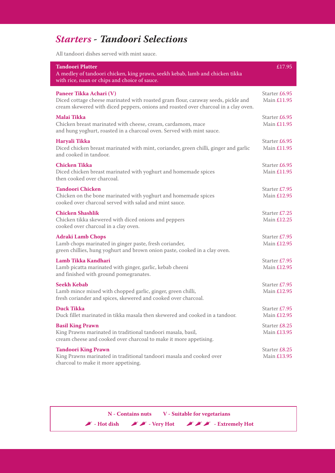# *Starters - Tandoori Selections Starters - Tandoori Selections*

All tandoori dishes served with mint sauce.

| <b>Tandoori Platter</b>                                                                                                                                                                             | £17.95                       |
|-----------------------------------------------------------------------------------------------------------------------------------------------------------------------------------------------------|------------------------------|
| A medley of tandoori chicken, king prawn, seekh kebab, lamb and chicken tikka<br>with rice, naan or chips and choice of sauce.                                                                      |                              |
| Paneer Tikka Achari (V)<br>Diced cottage cheese marinated with roasted gram flour, caraway seeds, pickle and<br>cream skewered with diced peppers, onions and roasted over charcoal in a clay oven. | Starter £6.95<br>Main £11.95 |
| Malai Tikka<br>Chicken breast marinated with cheese, cream, cardamom, mace<br>and hung yoghurt, roasted in a charcoal oven. Served with mint sauce.                                                 | Starter £6.95<br>Main £11.95 |
| Haryali Tikka<br>Diced chicken breast marinated with mint, coriander, green chilli, ginger and garlic<br>and cooked in tandoor.                                                                     | Starter £6.95<br>Main £11.95 |
| <b>Chicken Tikka</b><br>Diced chicken breast marinated with yoghurt and homemade spices<br>then cooked over charcoal.                                                                               | Starter £6.95<br>Main £11.95 |
| <b>Tandoori Chicken</b><br>Chicken on the bone marinated with yoghurt and homemade spices<br>cooked over charcoal served with salad and mint sauce.                                                 | Starter £7.95<br>Main £12.95 |
| <b>Chicken Shashlik</b><br>Chicken tikka skewered with diced onions and peppers<br>cooked over charcoal in a clay oven.                                                                             | Starter £7.25<br>Main £12.25 |
| <b>Adraki Lamb Chops</b><br>Lamb chops marinated in ginger paste, fresh coriander,<br>green chillies, hung yoghurt and brown onion paste, cooked in a clay oven.                                    | Starter £7.95<br>Main £12.95 |
| Lamb Tikka Kandhari<br>Lamb picatta marinated with ginger, garlic, kebab cheeni<br>and finished with ground pomegranates.                                                                           | Starter £7.95<br>Main £12.95 |
| <b>Seekh Kebab</b><br>Lamb mince mixed with chopped garlic, ginger, green chilli,<br>fresh coriander and spices, skewered and cooked over charcoal.                                                 | Starter £7.95<br>Main £12.95 |
| <b>Duck Tikka</b><br>Duck fillet marinated in tikka masala then skewered and cooked in a tandoor.                                                                                                   | Starter £7.95<br>Main £12.95 |
| <b>Basil King Prawn</b><br>King Prawns marinated in traditional tandoori masala, basil,<br>cream cheese and cooked over charcoal to make it more appetising.                                        | Starter £8.25<br>Main £13.95 |
| <b>Tandoori King Prawn</b><br>King Prawns marinated in traditional tandoori masala and cooked over<br>charcoal to make it more appetising.                                                          | Starter £8.25<br>Main £13.95 |

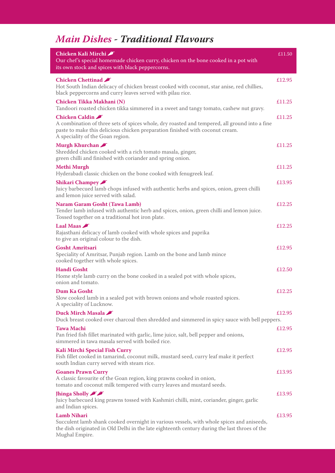# *Main Dishes - Traditional Flavours*

| Chicken Kali Mirchi<br>Our chef's special homemade chicken curry, chicken on the bone cooked in a pot with<br>its own stock and spices with black peppercorns.                                                                       | £11.50 |
|--------------------------------------------------------------------------------------------------------------------------------------------------------------------------------------------------------------------------------------|--------|
| <b>Chicken Chettinad</b><br>Hot South Indian delicacy of chicken breast cooked with coconut, star anise, red chillies,<br>black peppercorns and curry leaves served with pilau rice.                                                 | £12.95 |
| Chicken Tikka Makhani (N)<br>Tandoori roasted chicken tikka simmered in a sweet and tangy tomato, cashew nut gravy.                                                                                                                  | £11.25 |
| Chicken Caldin<br>A combination of three sets of spices whole, dry roasted and tempered, all ground into a fine<br>paste to make this delicious chicken preparation finished with coconut cream.<br>A speciality of the Goan region. | £11.25 |
| Murgh Khurchan<br>Shredded chicken cooked with a rich tomato masala, ginger,<br>green chilli and finished with coriander and spring onion.                                                                                           | £11.25 |
| <b>Methi Murgh</b><br>Hyderabadi classic chicken on the bone cooked with fenugreek leaf.                                                                                                                                             | £11.25 |
| <b>Shikari Champey</b><br>Juicy barbecued lamb chops infused with authentic herbs and spices, onion, green chilli<br>and lemon juice served with salad.                                                                              | £13.95 |
| <b>Naram Garam Gosht (Tawa Lamb)</b><br>Tender lamb infused with authentic herb and spices, onion, green chilli and lemon juice.<br>Tossed together on a traditional hot iron plate.                                                 | £12.25 |
| Laal Maas<br>Rajasthani delicacy of lamb cooked with whole spices and paprika<br>to give an original colour to the dish.                                                                                                             | £12.25 |
| <b>Gosht Amritsari</b><br>Speciality of Amritsar, Punjab region. Lamb on the bone and lamb mince<br>cooked together with whole spices.                                                                                               | £12.95 |
| <b>Handi Gosht</b><br>Home style lamb curry on the bone cooked in a sealed pot with whole spices,<br>onion and tomato.                                                                                                               | £12.50 |
| <b>Dum Ka Gosht</b><br>Slow cooked lamb in a sealed pot with brown onions and whole roasted spices.<br>A speciality of Lucknow.                                                                                                      | £12.25 |
| Duck Mirch Masala<br>Duck breast cooked over charcoal then shredded and simmered in spicy sauce with bell peppers.                                                                                                                   | £12.95 |
| <b>Tawa Machi</b><br>Pan fried fish fillet marinated with garlic, lime juice, salt, bell pepper and onions,<br>simmered in tawa masala served with boiled rice.                                                                      | £12.95 |
| Kali Mirchi Special Fish Curry<br>Fish fillet cooked in tamarind, coconut milk, mustard seed, curry leaf make it perfect<br>south Indian curry served with steam rice.                                                               | £12.95 |
| <b>Goanes Prawn Curry</b><br>A classic favourite of the Goan region, king prawns cooked in onion,<br>tomato and coconut milk tempered with curry leaves and mustard seeds.                                                           | £13.95 |
| Jhinga Sholly<br>Juicy barbecued king prawns tossed with Kashmiri chilli, mint, coriander, ginger, garlic<br>and Indian spices.                                                                                                      | £13.95 |
| <b>Lamb Nihari</b><br>Succulent lamb shank cooked overnight in various vessels, with whole spices and aniseeds,<br>the dish originated in Old Delhi in the late eighteenth century during the last throes of the<br>Mughal Empire.   | £13.95 |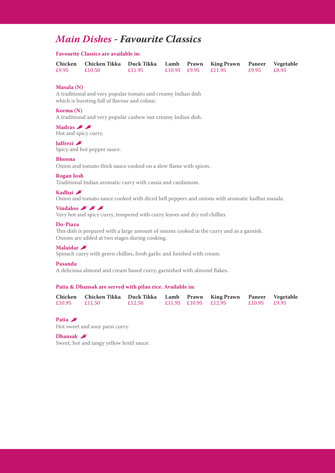## *Main Dishes - Favourite Classics*

#### **Favourite Classics are available in:**

|                  | Chicken Chicken Tikka Duck Tikka Lamb Prawn King Prawn Paneer Vegetable |        |                     |             |  |
|------------------|-------------------------------------------------------------------------|--------|---------------------|-------------|--|
| $£9.95$ $£10.50$ |                                                                         | £11.95 | £10.95 £9.95 £11.95 | £9.95 £8.95 |  |

#### **Masala (N)**

A traditional and very popular tomato and creamy Indian dish which is bursting full of flavour and colour.

#### **Korma (N)**

**Korma (N)**<br>A traditional and very popular cashew nut creamy Indian dish.

**Madras A Madras Favourite Classics**<br>Hot and spicy curry.

For and sprey curry.

### **Jalfrezi A**

Spicy and hot pepper sauce. **Chicken Chicken Tikka Lamb Prawn King Prawn Paneer Vegetable** 

#### **Bhoona**  $\mathbf{B}$ hoona $\mathbf{B}$

Onion and tomato thick sauce cooked on a slow flame with spices. Onion and tomato thick sauce cooked on a slow flame with

### **Rogan Josh**

Traditional Indian aromatic curry with cassia and cardamom.

### **Kadhai A** traditional and colour.

Onion and tomato sauce cooked with diced bell peppers and onions with aromatic kadhai masala.

### Vindaloo **A A A**

Very hot and spicy curry, tempered with curry leaves and dry red chillies

### Do-Piaza

This dish is prepared with a large amount of onions cooked in the curry and as a garnish. Onions are added at two stages during cooking.

### **Malaidar**

Spinach curry with green chillies, fresh garlic and finished with cream.

### $P$ asanda

A delicious almond and cream based curry, garnished with almond flakes.

#### **Patia & Dhansak are served with pilau rice. Available in: Kadhai** , Patia & Dhansak are served with pilau rice. Available in:

|  | Chicken Chicken Tikka Duck Tikka Lamb Prawn King Prawn Paneer Vegetable |        |  |                      |                |  |
|--|-------------------------------------------------------------------------|--------|--|----------------------|----------------|--|
|  | £10.95 $£11.50$                                                         | £12.50 |  | £11.95 £10.95 £12.95 | $£10.95$ £9.95 |  |

#### **Patia**  $\Gamma$  is prepared with a large amount of one only and as a garnish. In the curry and as a garnish  $\Gamma$

Hot sweet and sour parsi curry.

### **Dhansak**

Sweet, hot and tangy yellow lentil sauce.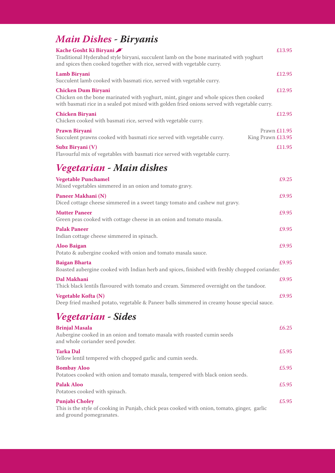# *Main Dishes - Biryanis*

| Kache Gosht Ki Biryani<br>Traditional Hyderabad style biryani, succulent lamb on the bone marinated with yoghurt<br>and spices then cooked together with rice, served with vegetable curry.                          | £13.95                            |
|----------------------------------------------------------------------------------------------------------------------------------------------------------------------------------------------------------------------|-----------------------------------|
| Lamb Biryani<br>Succulent lamb cooked with basmati rice, served with vegetable curry.                                                                                                                                | £12.95                            |
| <b>Chicken Dum Biryani</b><br>Chicken on the bone marinated with yoghurt, mint, ginger and whole spices then cooked<br>with basmati rice in a sealed pot mixed with golden fried onions served with vegetable curry. | £12.95                            |
| <b>Chicken Biryani</b><br>Chicken cooked with basmati rice, served with vegetable curry.                                                                                                                             | £12.95                            |
| Prawn Biryani<br>Succulent prawns cooked with basmati rice served with vegetable curry.                                                                                                                              | Prawn £11.95<br>King Prawn £13.95 |
| Subz Biryani (V)<br>Flavourful mix of vegetables with basmati rice served with vegetable curry.                                                                                                                      | £11.95                            |
| Vegetarian - Main dishes                                                                                                                                                                                             |                                   |
| <b>Vegetable Punchamel</b><br>Mixed vegetables simmered in an onion and tomato gravy.                                                                                                                                | £9.25                             |
| Paneer Makhani (N)<br>Diced cottage cheese simmered in a sweet tangy tomato and cashew nut gravy.                                                                                                                    | £9.95                             |
| <b>Mutter Paneer</b><br>Green peas cooked with cottage cheese in an onion and tomato masala.                                                                                                                         | £9.95                             |
| <b>Palak Paneer</b><br>Indian cottage cheese simmered in spinach.                                                                                                                                                    | £9.95                             |
| <b>Aloo Baigan</b><br>Potato & aubergine cooked with onion and tomato masala sauce.                                                                                                                                  | £9.95                             |
| <b>Baigan Bharta</b><br>Roasted aubergine cooked with Indian herb and spices, finished with freshly chopped coriander.                                                                                               | £9.95                             |
| Dal Makhani<br>Thick black lentils flavoured with tomato and cream. Simmered overnight on the tandoor.                                                                                                               | £9.95                             |
| Vegetable Kofta (N)<br>Deep fried mashed potato, vegetable & Paneer balls simmered in creamy house special sauce.                                                                                                    | f995                              |
| Vegetarian - Sides                                                                                                                                                                                                   |                                   |
| <b>Brinjal Masala</b><br>Aubergine cooked in an onion and tomato masala with roasted cumin seeds<br>and whole coriander seed powder.                                                                                 | £6.25                             |
| <b>Tarka Dal</b><br>Yellow lentil tempered with chopped garlic and cumin seeds.                                                                                                                                      | £5.95                             |
| <b>Bombay Aloo</b><br>Potatoes cooked with onion and tomato masala, tempered with black onion seeds.                                                                                                                 | £5.95                             |
| <b>Palak Aloo</b><br>Potatoes cooked with spinach.                                                                                                                                                                   | £5.95                             |
| <b>Punjabi Choley</b>                                                                                                                                                                                                | £5.95                             |

**Punjabi Choley**  This is the style of cooking in Punjab, chick peas cooked with onion, tomato, ginger, garlic and ground pomegranates. and ground pomegranates. **Punjabi Choley** £5.95 This is the style of cooking in Punjab, chick peas cooked with onion, tomato, ginger, garlic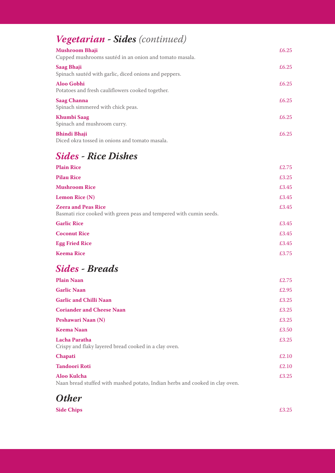| <b>Vegetarian - Sides</b> (continued)                                           |       |
|---------------------------------------------------------------------------------|-------|
| <b>Mushroom Bhaji</b><br>Cupped mushrooms sautéd in an onion and tomato masala. | £6.25 |
| <b>Saag Bhaji</b><br>Spinach sautéd with garlic, diced onions and peppers.      | £6.25 |
| Aloo Gobhi<br>Potatoes and fresh cauliflowers cooked together.                  | £6.25 |
| <b>Saag Channa</b><br>Spinach simmered with chick peas.                         | £6.25 |
| Khumbi Saag<br>Spinach and mushroom curry.                                      | £6.25 |
| <b>Bhindi Bhaji</b><br>Diced okra tossed in onions and tomato masala.           | £6.25 |

# *Sides - Rice Dishes*

| <b>Plain Rice</b>                                                                                | £2.75 |
|--------------------------------------------------------------------------------------------------|-------|
| <b>Pilau Rice</b>                                                                                | £3.25 |
| <b>Mushroom Rice</b>                                                                             | £3.45 |
| <b>Lemon Rice (N)</b>                                                                            | £3.45 |
| <b>Zeera and Peas Rice</b><br>Basmati rice cooked with green peas and tempered with cumin seeds. | £3.45 |
| <b>Garlic Rice</b>                                                                               | £3.45 |
| <b>Coconut Rice</b>                                                                              | £3.45 |
| <b>Egg Fried Rice</b>                                                                            | £3.45 |
| <b>Keema Rice</b>                                                                                | £3.75 |
|                                                                                                  |       |

# **Sides - Breads** *A*

| <b>Plain Naan</b>                                                                                  | £2.75 |
|----------------------------------------------------------------------------------------------------|-------|
| <b>Garlic Naan</b>                                                                                 | £2.95 |
| <b>Garlic and Chilli Naan</b>                                                                      | £3.25 |
| <b>Coriander and Cheese Naan</b>                                                                   | £3.25 |
| Peshawari Naan (N)                                                                                 | £3.25 |
| Keema Naan                                                                                         | £3.50 |
| Lacha Paratha<br>Crispy and flaky layered bread cooked in a clay oven.                             | £3.25 |
| <b>Chapati</b>                                                                                     | £2.10 |
| <b>Tandoori Roti</b>                                                                               | £2.10 |
| <b>Aloo Kulcha</b><br>Naan bread stuffed with mashed potato, Indian herbs and cooked in clay oven. | £3.25 |



**Side Chips** £3.25